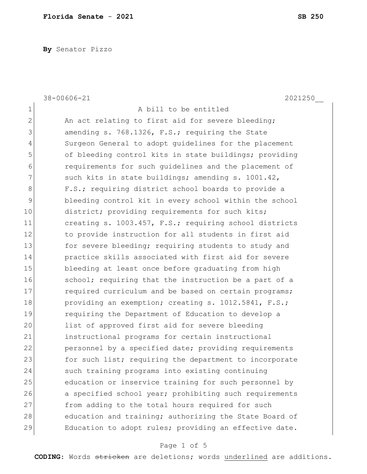**By** Senator Pizzo

|                | 38-00606-21<br>2021250                                 |
|----------------|--------------------------------------------------------|
| $\mathbf 1$    | A bill to be entitled                                  |
| $\overline{2}$ | An act relating to first aid for severe bleeding;      |
| 3              | amending s. 768.1326, F.S.; requiring the State        |
| 4              | Surgeon General to adopt guidelines for the placement  |
| 5              | of bleeding control kits in state buildings; providing |
| 6              | requirements for such quidelines and the placement of  |
| 7              | such kits in state buildings; amending s. 1001.42,     |
| 8              | F.S.; requiring district school boards to provide a    |
| 9              | bleeding control kit in every school within the school |
| 10             | district; providing requirements for such kits;        |
| 11             | creating s. 1003.457, F.S.; requiring school districts |
| 12             | to provide instruction for all students in first aid   |
| 13             | for severe bleeding; requiring students to study and   |
| 14             | practice skills associated with first aid for severe   |
| 15             | bleeding at least once before graduating from high     |
| 16             | school; requiring that the instruction be a part of a  |
| 17             | required curriculum and be based on certain programs;  |
| 18             | providing an exemption; creating s. 1012.5841, F.S.;   |
| 19             | requiring the Department of Education to develop a     |
| 20             | list of approved first aid for severe bleeding         |
| 21             | instructional programs for certain instructional       |
| 22             | personnel by a specified date; providing requirements  |
| 23             | for such list; requiring the department to incorporate |
| 24             | such training programs into existing continuing        |
| 25             | education or inservice training for such personnel by  |
| 26             | a specified school year; prohibiting such requirements |
| 27             | from adding to the total hours required for such       |
| 28             | education and training; authorizing the State Board of |
| 29             | Education to adopt rules; providing an effective date. |

## Page 1 of 5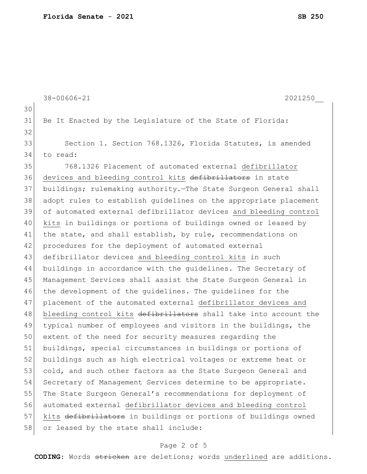```
38-00606-21 2021250__
30
31 Be It Enacted by the Legislature of the State of Florida:
32
33 Section 1. Section 768.1326, Florida Statutes, is amended
34 to read:
35 768.1326 Placement of automated external defibrillator 
36 devices and bleeding control kits defibrillators in state
37 buildings; rulemaking authority.—The State Surgeon General shall 
38 adopt rules to establish guidelines on the appropriate placement 
39 of automated external defibrillator devices and bleeding control 
40 kits in buildings or portions of buildings owned or leased by 
41 the state, and shall establish, by rule, recommendations on
42 procedures for the deployment of automated external
43 defibrillator devices and bleeding control kits in such 
44 buildings in accordance with the guidelines. The Secretary of 
45 Management Services shall assist the State Surgeon General in 
46 the development of the guidelines. The guidelines for the 
47 placement of the automated external defibrillator devices and 
48 bleeding control kits defibrillators shall take into account the
49 typical number of employees and visitors in the buildings, the 
50 extent of the need for security measures regarding the 
51 buildings, special circumstances in buildings or portions of 
52 buildings such as high electrical voltages or extreme heat or
53 cold, and such other factors as the State Surgeon General and
54 Secretary of Management Services determine to be appropriate.
55 The State Surgeon General's recommendations for deployment of
56 automated external defibrillator devices and bleeding control 
57 kits defibrillators in buildings or portions of buildings owned
58 or leased by the state shall include:
```
## Page 2 of 5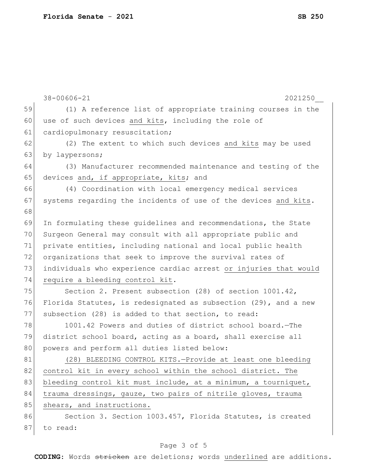|    | $38 - 00606 - 21$<br>2021250                                     |
|----|------------------------------------------------------------------|
| 59 | (1) A reference list of appropriate training courses in the      |
| 60 | use of such devices and kits, including the role of              |
| 61 | cardiopulmonary resuscitation;                                   |
| 62 | (2) The extent to which such devices and kits may be used        |
| 63 | by laypersons;                                                   |
| 64 | (3) Manufacturer recommended maintenance and testing of the      |
| 65 | devices and, if appropriate, kits; and                           |
| 66 | (4) Coordination with local emergency medical services           |
| 67 | systems regarding the incidents of use of the devices and kits.  |
| 68 |                                                                  |
| 69 | In formulating these guidelines and recommendations, the State   |
| 70 | Surgeon General may consult with all appropriate public and      |
| 71 | private entities, including national and local public health     |
| 72 | organizations that seek to improve the survival rates of         |
| 73 | individuals who experience cardiac arrest or injuries that would |
| 74 | require a bleeding control kit.                                  |
| 75 | Section 2. Present subsection (28) of section 1001.42,           |
| 76 | Florida Statutes, is redesignated as subsection (29), and a new  |
| 77 | subsection (28) is added to that section, to read:               |
| 78 | 1001.42 Powers and duties of district school board. The          |
| 79 | district school board, acting as a board, shall exercise all     |
| 80 | powers and perform all duties listed below:                      |
| 81 | (28) BLEEDING CONTROL KITS.-Provide at least one bleeding        |
| 82 | control kit in every school within the school district. The      |
| 83 | bleeding control kit must include, at a minimum, a tourniquet,   |
| 84 | trauma dressings, gauze, two pairs of nitrile gloves, trauma     |
| 85 | shears, and instructions.                                        |
| 86 | Section 3. Section 1003.457, Florida Statutes, is created        |
| 87 | to read:                                                         |

## Page 3 of 5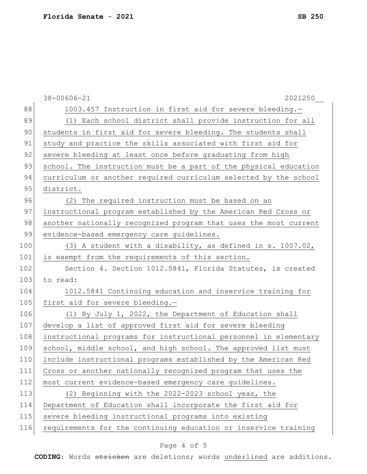|     | $38 - 00606 - 21$<br>2021250                                     |
|-----|------------------------------------------------------------------|
| 88  | 1003.457 Instruction in first aid for severe bleeding.-          |
| 89  | (1) Each school district shall provide instruction for all       |
| 90  | students in first aid for severe bleeding. The students shall    |
| 91  | study and practice the skills associated with first aid for      |
| 92  | severe bleeding at least once before graduating from high        |
| 93  | school. The instruction must be a part of the physical education |
| 94  | curriculum or another required curriculum selected by the school |
| 95  | district.                                                        |
| 96  | (2) The required instruction must be based on an                 |
| 97  | instructional program established by the American Red Cross or   |
| 98  | another nationally recognized program that uses the most current |
| 99  | evidence-based emergency care guidelines.                        |
| 100 | (3) A student with a disability, as defined in s. 1007.02,       |
| 101 | is exempt from the requirements of this section.                 |
| 102 | Section 4. Section 1012.5841, Florida Statutes, is created       |
| 103 | to read:                                                         |
| 104 | 1012.5841 Continuing education and inservice training for        |
| 105 | first aid for severe bleeding.-                                  |
| 106 | (1) By July 1, 2022, the Department of Education shall           |
| 107 | develop a list of approved first aid for severe bleeding         |
| 108 | instructional programs for instructional personnel in elementary |
| 109 | school, middle school, and high school. The approved list must   |
| 110 | include instructional programs established by the American Red   |
| 111 | Cross or another nationally recognized program that uses the     |
| 112 | most current evidence-based emergency care guidelines.           |
| 113 | (2) Beginning with the 2022-2023 school year, the                |
| 114 | Department of Education shall incorporate the first aid for      |
| 115 | severe bleeding instructional programs into existing             |
| 116 | requirements for the continuing education or inservice training  |
|     |                                                                  |

## Page 4 of 5